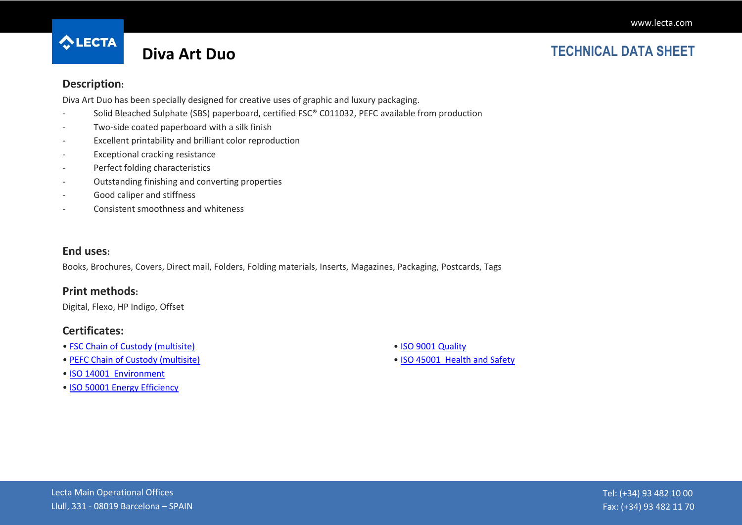

## **Diva Art Duo TECHNICAL DATA SHEET**

#### **Description:**

Diva Art Duo has been specially designed for creative uses of graphic and luxury packaging.

- Solid Bleached Sulphate (SBS) paperboard, certified FSC® C011032, PEFC available from production
- Two-side coated paperboard with a silk finish
- Excellent printability and brilliant color reproduction
- Exceptional cracking resistance
- Perfect folding characteristics
- Outstanding finishing and converting properties
- Good caliper and stiffness
- Consistent smoothness and whiteness

#### **End uses:**

Books, Brochures, Covers, Direct mail, Folders, Folding materials, Inserts, Magazines, Packaging, Postcards, Tags

### **Print methods:**

Digital, Flexo, HP Indigo, Offset

### **Certificates:**

- [FSC Chain of Custody \(multisite\)](http://cmspro.lecta.com/Certificates/FSCMultisite.pdf)
- [PEFC Chain of Custody \(multisite\)](http://cmspro.lecta.com/Certificates/PEFCMultisite.pdf)
- [ISO 14001 Environment](http://cmspro.lecta.com/Certificates/Lecta14001.pdf)
- [ISO 50001 Energy Efficiency](http://cmspro.lecta.com/Certificates/Lecta50001.pdf)
- [ISO 9001 Quality](http://cmspro.lecta.com/Certificates/Lecta9001.pdf)
- [ISO 45001 Health and Safety](http://cmspro.lecta.com/Certificates/Lecta45001Multisite.pdf)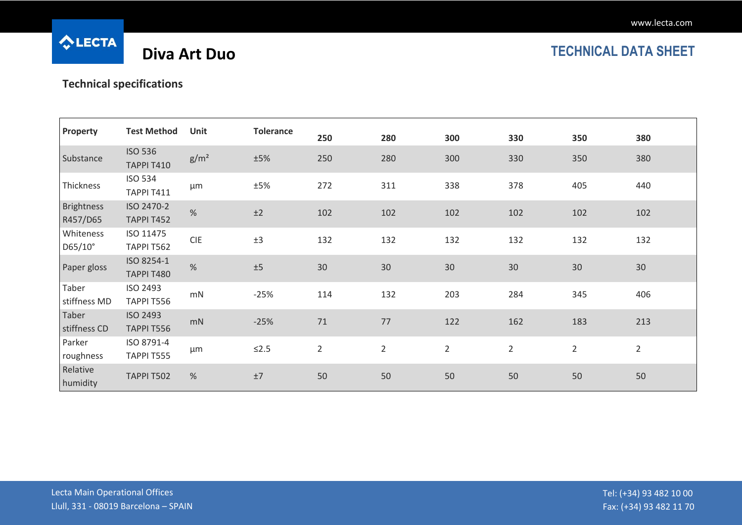

# **Diva Art Duo TECHNICAL DATA SHEET**

## **Technical specifications**

| Property                      | <b>Test Method</b>                  | <b>Unit</b>      | <b>Tolerance</b> | 250            | 280            | 300            | 330            | 350            | 380            |
|-------------------------------|-------------------------------------|------------------|------------------|----------------|----------------|----------------|----------------|----------------|----------------|
| Substance                     | <b>ISO 536</b><br><b>TAPPI T410</b> | g/m <sup>2</sup> | ±5%              | 250            | 280            | 300            | 330            | 350            | 380            |
| Thickness                     | <b>ISO 534</b><br><b>TAPPI T411</b> | μm               | ±5%              | 272            | 311            | 338            | 378            | 405            | 440            |
| <b>Brightness</b><br>R457/D65 | ISO 2470-2<br>TAPPI T452            | $\%$             | ±2               | 102            | 102            | 102            | 102            | 102            | 102            |
| Whiteness<br>D65/10°          | ISO 11475<br>TAPPI T562             | <b>CIE</b>       | ±3               | 132            | 132            | 132            | 132            | 132            | 132            |
| Paper gloss                   | ISO 8254-1<br><b>TAPPI T480</b>     | $\%$             | ±5               | 30             | 30             | 30             | 30             | 30             | 30             |
| Taber<br>stiffness MD         | ISO 2493<br>TAPPI T556              | mN               | $-25%$           | 114            | 132            | 203            | 284            | 345            | 406            |
| Taber<br>stiffness CD         | <b>ISO 2493</b><br>TAPPI T556       | mN               | $-25%$           | 71             | 77             | 122            | 162            | 183            | 213            |
| Parker<br>roughness           | ISO 8791-4<br>TAPPI T555            | $\mu$ m          | $≤2.5$           | $\overline{2}$ | $\overline{2}$ | $\overline{2}$ | $\overline{2}$ | $\overline{2}$ | $\overline{2}$ |
| Relative<br>humidity          | TAPPI T502                          | $\%$             | $\pm 7$          | 50             | 50             | 50             | 50             | 50             | 50             |